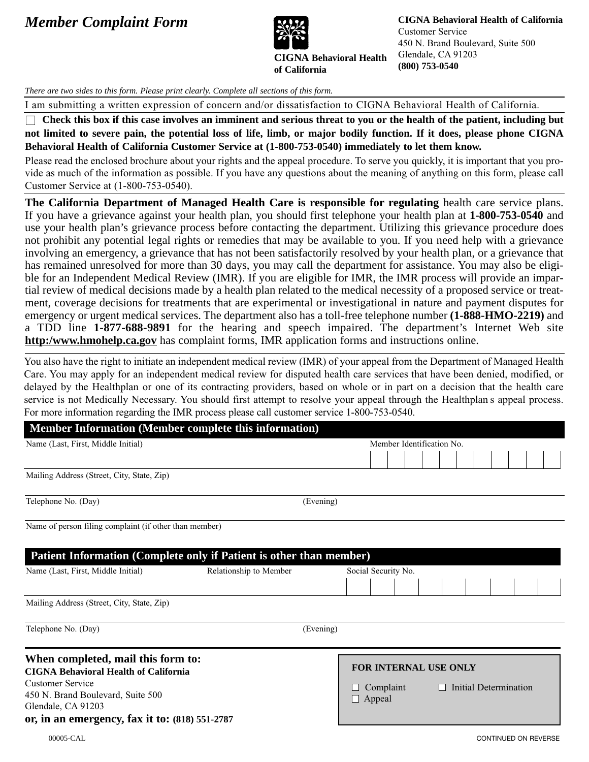## *Member Complaint Form* **<b>CIGNA Behavioral Health of California**



**of California**

**CIGNA Behavioral Health**

Customer Service 450 N. Brand Boulevard, Suite 500 Glendale, CA 91203 **(800) 753-0540**

*There are two sides to this form. Please print clearly. Complete all sections of this form.*

I am submitting a written expression of concern and/or dissatisfaction to CIGNA Behavioral Health of California.

□ Check this box if this case involves an imminent and serious threat to you or the health of the patient, including but **not limited to severe pain, the potential loss of life, limb, or major bodily function. If it does, please phone CIGNA Behavioral Health of California Customer Service at (1-800-753-0540) immediately to let them know.**

Please read the enclosed brochure about your rights and the appeal procedure. To serve you quickly, it is important that you provide as much of the information as possible. If you have any questions about the meaning of anything on this form, please call Customer Service at (1-800-753-0540).

**The California Department of Managed Health Care is responsible for regulating** health care service plans. If you have a grievance against your health plan, you should first telephone your health plan at **1-800-753-0540** and use your health plan's grievance process before contacting the department. Utilizing this grievance procedure does not prohibit any potential legal rights or remedies that may be available to you. If you need help with a grievance involving an emergency, a grievance that has not been satisfactorily resolved by your health plan, or a grievance that has remained unresolved for more than 30 days, you may call the department for assistance. You may also be eligible for an Independent Medical Review (IMR). If you are eligible for IMR, the IMR process will provide an impartial review of medical decisions made by a health plan related to the medical necessity of a proposed service or treatment, coverage decisions for treatments that are experimental or investigational in nature and payment disputes for emergency or urgent medical services. The department also has a toll-free telephone number **(1-888-HMO-2219)** and a TDD line **1-877-688-9891** for the hearing and speech impaired. The department's Internet Web site **http:/www.hmohelp.ca.gov** has complaint forms, IMR application forms and instructions online.

You also have the right to initiate an independent medical review (IMR) of your appeal from the Department of Managed Health Care. You may apply for an independent medical review for disputed health care services that have been denied, modified, or delayed by the Healthplan or one of its contracting providers, based on whole or in part on a decision that the health care service is not Medically Necessary. You should first attempt to resolve your appeal through the Healthplan s appeal process. For more information regarding the IMR process please call customer service 1-800-753-0540.

| <b>Member Information (Member complete this information)</b>                                                                                                             |                        |                                                            |  |  |                       |  |  |  |  |
|--------------------------------------------------------------------------------------------------------------------------------------------------------------------------|------------------------|------------------------------------------------------------|--|--|-----------------------|--|--|--|--|
| Name (Last, First, Middle Initial)                                                                                                                                       |                        | Member Identification No.                                  |  |  |                       |  |  |  |  |
|                                                                                                                                                                          |                        |                                                            |  |  |                       |  |  |  |  |
| Mailing Address (Street, City, State, Zip)                                                                                                                               |                        |                                                            |  |  |                       |  |  |  |  |
| Telephone No. (Day)                                                                                                                                                      | (Evening)              |                                                            |  |  |                       |  |  |  |  |
| Name of person filing complaint (if other than member)                                                                                                                   |                        |                                                            |  |  |                       |  |  |  |  |
| Patient Information (Complete only if Patient is other than member)                                                                                                      |                        |                                                            |  |  |                       |  |  |  |  |
| Name (Last, First, Middle Initial)                                                                                                                                       | Relationship to Member | Social Security No.                                        |  |  |                       |  |  |  |  |
|                                                                                                                                                                          |                        |                                                            |  |  |                       |  |  |  |  |
| Mailing Address (Street, City, State, Zip)                                                                                                                               |                        |                                                            |  |  |                       |  |  |  |  |
| Telephone No. (Day)                                                                                                                                                      | (Evening)              |                                                            |  |  |                       |  |  |  |  |
| When completed, mail this form to:<br><b>CIGNA Behavioral Health of California</b><br><b>Customer Service</b><br>450 N. Brand Boulevard, Suite 500<br>Glendale, CA 91203 |                        | FOR INTERNAL USE ONLY<br>$\Box$ Complaint<br>$\Box$ Appeal |  |  | Initial Determination |  |  |  |  |
| or, in an emergency, fax it to: $(818)$ 551-2787                                                                                                                         |                        |                                                            |  |  |                       |  |  |  |  |